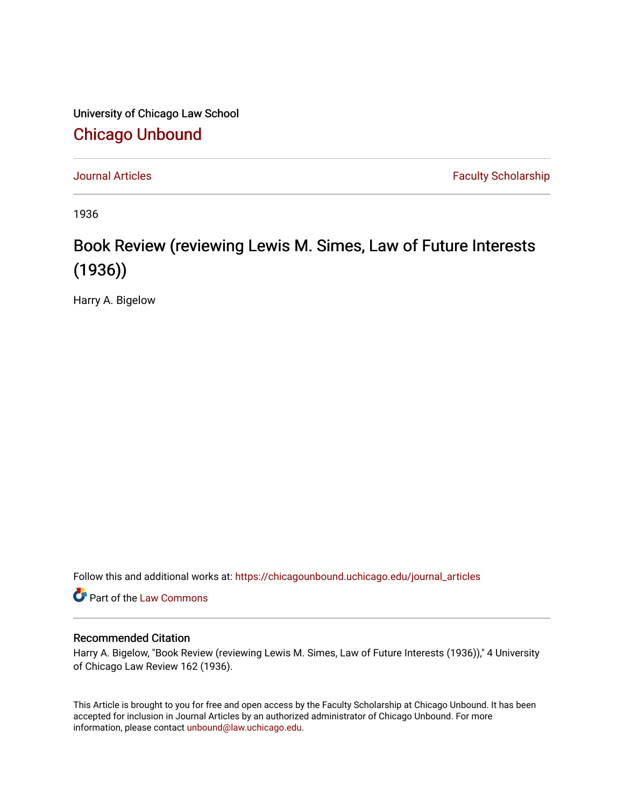University of Chicago Law School [Chicago Unbound](https://chicagounbound.uchicago.edu/)

[Journal Articles](https://chicagounbound.uchicago.edu/journal_articles) **Faculty Scholarship Journal Articles** 

1936

## Book Review (reviewing Lewis M. Simes, Law of Future Interests (1936))

Harry A. Bigelow

Follow this and additional works at: [https://chicagounbound.uchicago.edu/journal\\_articles](https://chicagounbound.uchicago.edu/journal_articles?utm_source=chicagounbound.uchicago.edu%2Fjournal_articles%2F7528&utm_medium=PDF&utm_campaign=PDFCoverPages) 

Part of the [Law Commons](http://network.bepress.com/hgg/discipline/578?utm_source=chicagounbound.uchicago.edu%2Fjournal_articles%2F7528&utm_medium=PDF&utm_campaign=PDFCoverPages)

## Recommended Citation

Harry A. Bigelow, "Book Review (reviewing Lewis M. Simes, Law of Future Interests (1936))," 4 University of Chicago Law Review 162 (1936).

This Article is brought to you for free and open access by the Faculty Scholarship at Chicago Unbound. It has been accepted for inclusion in Journal Articles by an authorized administrator of Chicago Unbound. For more information, please contact [unbound@law.uchicago.edu](mailto:unbound@law.uchicago.edu).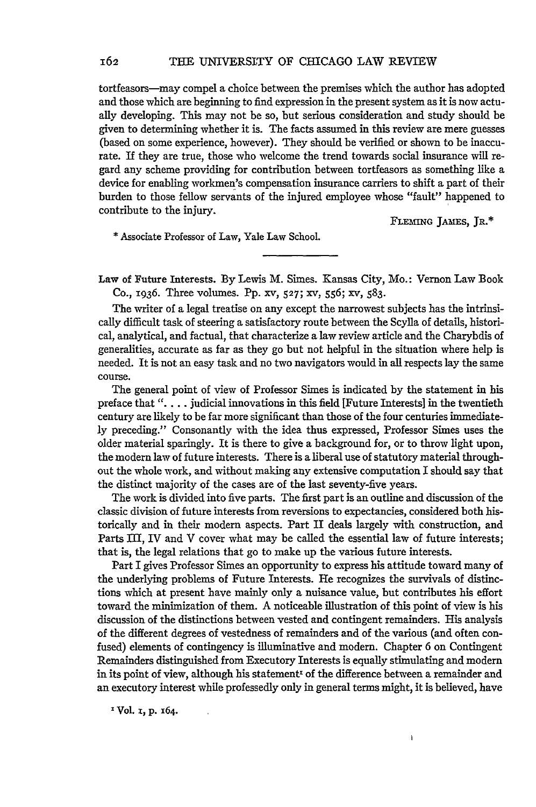tortfeasors-may compel a choice between the premises which the author has adopted and those which are beginning to find expression in the present system as it is now actually developing. This may not be so, but serious consideration and study should be given to determining whether it is. The facts assumed in this review are mere guesses (based on some experience, however). They should be verified or shown to be inaccurate. If they are true, those who welcome the trend towards social insurance will regard any scheme providing for contribution between tortfeasors as something like a device for enabling workmen's compensation insurance carriers to shift a part of their burden to those fellow servants of the injured employee whose "fault" happened to contribute to the injury.

**FLEMING** JAMES, JR.\*

\* Associate Professor of Law, Yale Law School.

Law of Future Interests. By Lewis M. Simes. Kansas City, Mo.: Vernon Law Book Co., 1936. Three volumes. Pp. xv, **527;** xv, 556; xv, 583.

The writer of a legal treatise on any except the narrowest subjects has the intrinsically difficult task of steering a satisfactory route between the Scylla of details, historical, analytical, and factual, that characterize a law review article and the Charybdis of generalities, accurate as far as they go but not helpful in the situation where help is needed. It is not an easy task and no two navigators would in all respects lay the same course.

The general point of view of Professor Simes is indicated by the statement in his preface that". . **.** . judicial innovations in this field [Future Interests] in the twentieth century are likely to be far more significant than those of the four centuries immediately preceding." Consonantly with the idea thus expressed, Professor Simes uses the older material sparingly. It is there to give a background for, or to throw light upon, the modern law of future interests. There is a liberal use of statutory material throughout the whole work, and without making any extensive computation I should say that the distinct majority of the cases are of the last seventy-five years.

The work is divided into five parts. The first part is an outline and discussion of the classic division of future interests from reversions to expectancies, considered both historically and in their modern aspects. Part II deals largely with construction, and Parts III, IV and V cover what may be called the essential law of future interests; that is, the legal relations that go to make up the various future interests.

Part I gives Professor Simes an opportunity to express his attitude toward many of the underlying problems of Future Interests. He recognizes the survivals of distinctions which at present have mainly only a nuisance value, but contributes his effort toward the minimization of them. A noticeable illustration of this point of view is his discussion of the distinctions between vested and contingent remainders. His analysis of the different degrees of vestedness of remainders and of the various (and often confused) elements of contingency is illuminative and modern. Chapter 6 on Contingent Remainders distinguished from Executory Interests is equally stimulating and modern in its point of view, although his statement<sup>t</sup> of the difference between a remainder and an executory interest while professedly only in general terms might, it is believed, have

 $\pmb{\mathfrak{z}}$ 

IVol. **i, p.** x64.

162